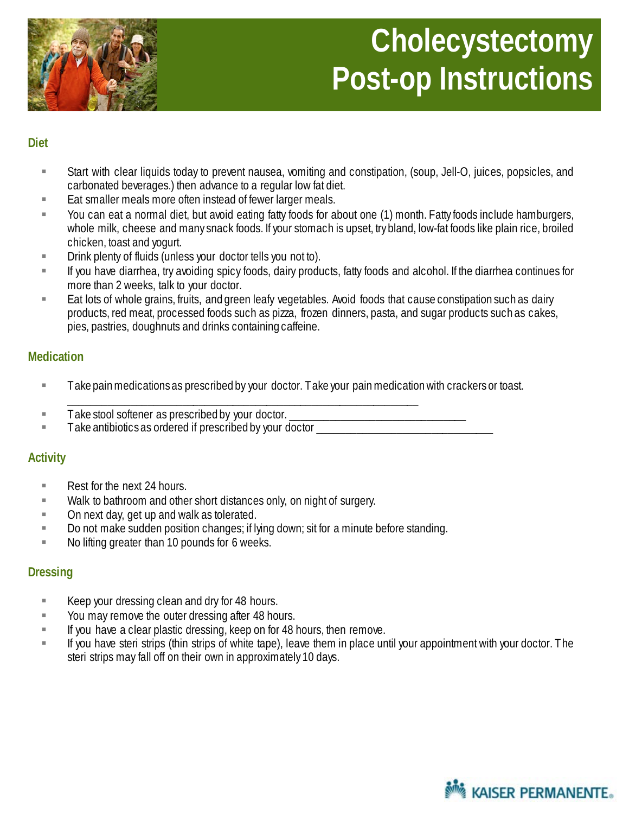

#### **Diet**

- Start with clear liquids today to prevent nausea, vomiting and constipation, (soup, Jell-O, juices, popsicles, and carbonated beverages.) then advance to a regular low fat diet.
- Eat smaller meals more often instead of fewer larger meals.
- You can eat a normal diet, but avoid eating fatty foods for about one (1) month. Fatty foods include hamburgers, whole milk, cheese and many snack foods. If your stomach is upset, try bland, low-fat foods like plain rice, broiled chicken, toast and yogurt.
- **EXECT** Drink plenty of fluids (unless your doctor tells you not to).
- If you have diarrhea, try avoiding spicy foods, dairy products, fatty foods and alcohol. If the diarrhea continues for more than 2 weeks, talk to your doctor.
- **Eat lots of whole grains, fruits, and green leafy vegetables. Avoid foods that cause constipation such as dairy** products, red meat, processed foods such as pizza, frozen dinners, pasta, and sugar products such as cakes, pies, pastries, doughnuts and drinks containing caffeine.

### **Medication**

- **Take pain medications as prescribed by your doctor. Take your pain medication with crackers or toast.**
- **Take stool softener as prescribed by your doctor.**
- Take antibiotics as ordered if prescribed by your doctor \_\_\_\_\_\_\_\_\_\_\_\_\_\_\_\_\_\_\_\_\_\_\_

\_\_\_\_\_\_\_\_\_\_\_\_\_\_\_\_\_\_\_\_\_\_\_\_\_\_\_\_\_\_\_\_\_\_\_\_\_\_\_\_\_\_\_\_\_\_\_\_\_\_\_\_\_\_\_\_\_\_\_\_\_\_

### **Activity**

- Rest for the next 24 hours.
- **Walk to bathroom and other short distances only, on night of surgery.**
- **Demokerated** On next day, get up and walk as tolerated.
- Do not make sudden position changes; if lying down; sit for a minute before standing.
- No lifting greater than 10 pounds for 6 weeks.

### **Dressing**

- EXTER Keep your dressing clean and dry for 48 hours.
- **Nou may remove the outer dressing after 48 hours.**
- $\blacksquare$  If you have a clear plastic dressing, keep on for 48 hours, then remove.
- If you have steri strips (thin strips of white tape), leave them in place until your appointment with your doctor. The steri strips may fall off on their own in approximately 10 days.

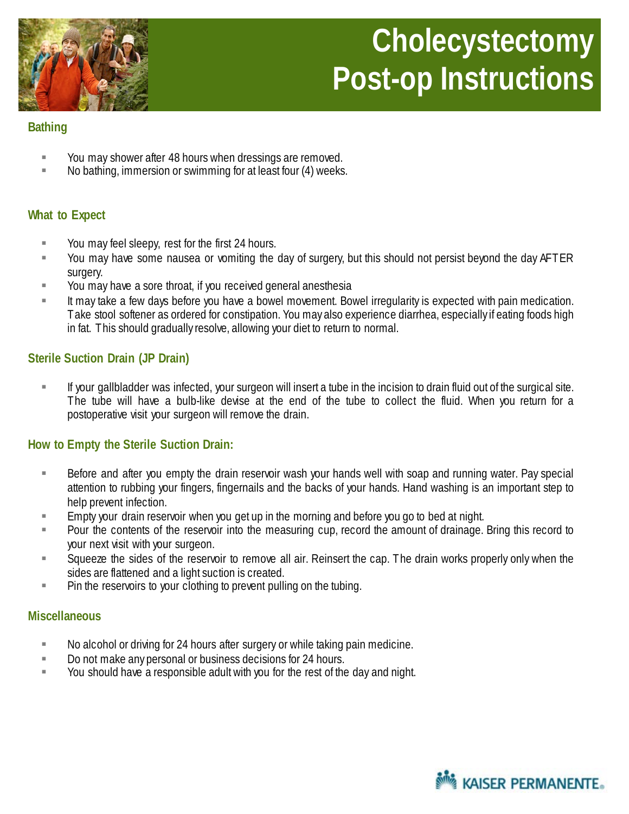

# **Cholecystectomy Post-op Instructions**

## **Bathing**

- You may shower after 48 hours when dressings are removed.
- No bathing, immersion or swimming for at least four (4) weeks.

### **What to Expect**

- **Nou may feel sleepy, rest for the first 24 hours.**
- You may have some nausea or vomiting the day of surgery, but this should not persist beyond the day AFTER surgery.
- You may have a sore throat, if you received general anesthesia
- It may take a few days before you have a bowel movement. Bowel irregularity is expected with pain medication. Take stool softener as ordered for constipation. You may also experience diarrhea, especially if eating foods high in fat. This should gradually resolve, allowing your diet to return to normal.

## **Sterile Suction Drain (JP Drain)**

 If your gallbladder was infected, your surgeon will insert a tube in the incision to drain fluid out of the surgical site. The tube will have a bulb-like devise at the end of the tube to collect the fluid. When you return for a postoperative visit your surgeon will remove the drain.

### **How to Empty the Sterile Suction Drain:**

- Before and after you empty the drain reservoir wash your hands well with soap and running water. Pay special attention to rubbing your fingers, fingernails and the backs of your hands. Hand washing is an important step to help prevent infection.
- **Empty your drain reservoir when you get up in the morning and before you go to bed at night.**
- Pour the contents of the reservoir into the measuring cup, record the amount of drainage. Bring this record to your next visit with your surgeon.
- Squeeze the sides of the reservoir to remove all air. Reinsert the cap. The drain works properly only when the sides are flattened and a light suction is created.
- **Pin the reservoirs to your clothing to prevent pulling on the tubing.**

### **Miscellaneous**

- No alcohol or driving for 24 hours after surgery or while taking pain medicine.
- Do not make any personal or business decisions for 24 hours.
- You should have a responsible adult with you for the rest of the day and night.

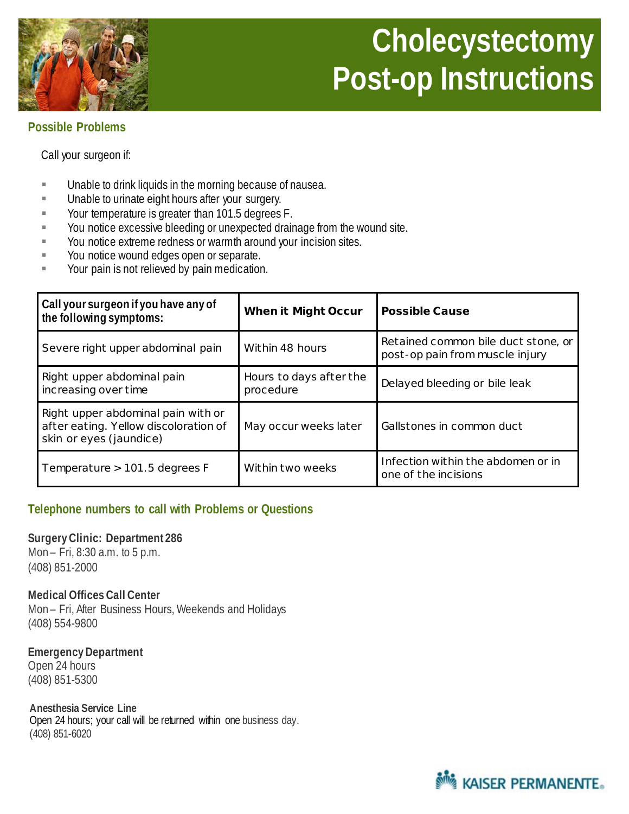# **Cholecystectomy Post-op Instructions**



## **Possible Problems**

Call your surgeon if:

- Unable to drink liquids in the morning because of nausea.
- **Unable to urinate eight hours after your surgery.**
- Your temperature is greater than 101.5 degrees F.
- You notice excessive bleeding or unexpected drainage from the wound site.
- **Vou notice extreme redness or warmth around your incision sites.**
- **Nou notice wound edges open or separate.**
- **The Studies** Your pain is not relieved by pain medication.

| Call your surgeon if you have any of<br>the following symptoms:                                        | <b>When it Might Occur</b>           | <b>Possible Cause</b>                                                  |
|--------------------------------------------------------------------------------------------------------|--------------------------------------|------------------------------------------------------------------------|
| Severe right upper abdominal pain                                                                      | Within 48 hours                      | Retained common bile duct stone, or<br>post-op pain from muscle injury |
| Right upper abdominal pain<br>increasing over time                                                     | Hours to days after the<br>procedure | Delayed bleeding or bile leak                                          |
| Right upper abdominal pain with or<br>after eating. Yellow discoloration of<br>skin or eyes (jaundice) | May occur weeks later                | Gallstones in common duct                                              |
| Temperature $> 101.5$ degrees F                                                                        | Within two weeks                     | Infection within the abdomen or in<br>one of the incisions             |

### **Telephone numbers to call with Problems or Questions**

#### **Surgery Clinic: Department 286**

Mon – Fri, 8:30 a.m. to 5 p.m. (408) 851-2000

#### **Medical Offices Call Center**

Mon – Fri, After Business Hours, Weekends and Holidays (408) 554-9800

**Emergency Department** Open 24 hours (408) 851-5300

**Anesthesia Service Line** Open 24 hours; your call will be returned within one business day. (408) 851-6020

**KAISER PERMANENTE.**